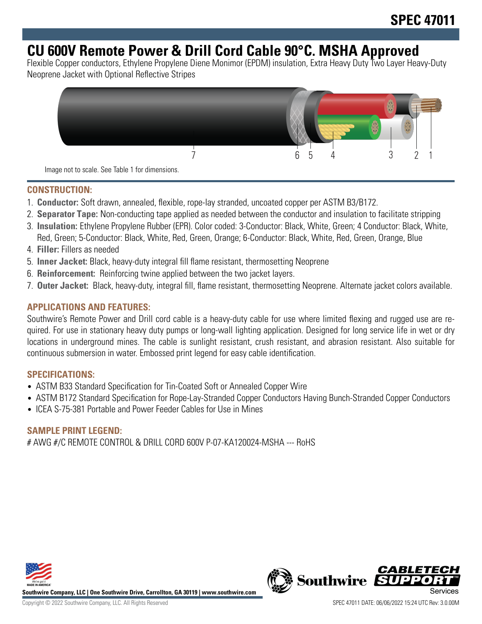# **CU 600V Remote Power & Drill Cord Cable 90°C. MSHA Approved**

Flexible Copper conductors, Ethylene Propylene Diene Monimor (EPDM) insulation, Extra Heavy Duty Two Layer Heavy-Duty Neoprene Jacket with Optional Reflective Stripes



#### **CONSTRUCTION:**

- 1. **Conductor:** Soft drawn, annealed, flexible, rope-lay stranded, uncoated copper per ASTM B3/B172.
- 2. **Separator Tape:** Non-conducting tape applied as needed between the conductor and insulation to facilitate stripping
- 3. **Insulation:** Ethylene Propylene Rubber (EPR). Color coded: 3-Conductor: Black, White, Green; 4 Conductor: Black, White, Red, Green; 5-Conductor: Black, White, Red, Green, Orange; 6-Conductor: Black, White, Red, Green, Orange, Blue
- 4. **Filler:** Fillers as needed
- 5. **Inner Jacket:** Black, heavy-duty integral fill flame resistant, thermosetting Neoprene
- 6. **Reinforcement:** Reinforcing twine applied between the two jacket layers.
- 7. **Outer Jacket:** Black, heavy-duty, integral fill, flame resistant, thermosetting Neoprene. Alternate jacket colors available.

### **APPLICATIONS AND FEATURES:**

Southwire's Remote Power and Drill cord cable is a heavy-duty cable for use where limited flexing and rugged use are required. For use in stationary heavy duty pumps or long-wall lighting application. Designed for long service life in wet or dry locations in underground mines. The cable is sunlight resistant, crush resistant, and abrasion resistant. Also suitable for continuous submersion in water. Embossed print legend for easy cable identification.

#### **SPECIFICATIONS:**

- ASTM B33 Standard Specification for Tin-Coated Soft or Annealed Copper Wire
- ASTM B172 Standard Specification for Rope-Lay-Stranded Copper Conductors Having Bunch-Stranded Copper Conductors
- ICEA S-75-381 Portable and Power Feeder Cables for Use in Mines

#### **SAMPLE PRINT LEGEND:**

# AWG #/C REMOTE CONTROL & DRILL CORD 600V P-07-KA120024-MSHA --- RoHS



**Southwire Company, LLC | One Southwire Drive, Carrollton, GA 30119 | www.southwire.com**